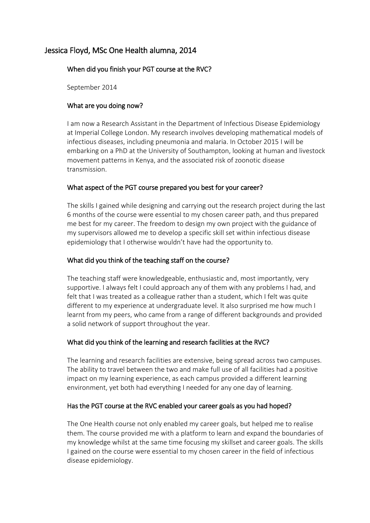# Jessica Floyd, MSc One Health alumna, 2014

## When did you finish your PGT course at the RVC?

September 2014

## What are you doing now?

I am now a Research Assistant in the Department of Infectious Disease Epidemiology at Imperial College London. My research involves developing mathematical models of infectious diseases, including pneumonia and malaria. In October 2015 I will be embarking on a PhD at the University of Southampton, looking at human and livestock movement patterns in Kenya, and the associated risk of zoonotic disease transmission.

#### What aspect of the PGT course prepared you best for your career?

The skills I gained while designing and carrying out the research project during the last 6 months of the course were essential to my chosen career path, and thus prepared me best for my career. The freedom to design my own project with the guidance of my supervisors allowed me to develop a specific skill set within infectious disease epidemiology that I otherwise wouldn't have had the opportunity to.

## What did you think of the teaching staff on the course?

The teaching staff were knowledgeable, enthusiastic and, most importantly, very supportive. I always felt I could approach any of them with any problems I had, and felt that I was treated as a colleague rather than a student, which I felt was quite different to my experience at undergraduate level. It also surprised me how much I learnt from my peers, who came from a range of different backgrounds and provided a solid network of support throughout the year.

#### What did you think of the learning and research facilities at the RVC?

The learning and research facilities are extensive, being spread across two campuses. The ability to travel between the two and make full use of all facilities had a positive impact on my learning experience, as each campus provided a different learning environment, yet both had everything I needed for any one day of learning.

#### Has the PGT course at the RVC enabled your career goals as you had hoped?

The One Health course not only enabled my career goals, but helped me to realise them. The course provided me with a platform to learn and expand the boundaries of my knowledge whilst at the same time focusing my skillset and career goals. The skills I gained on the course were essential to my chosen career in the field of infectious disease epidemiology.